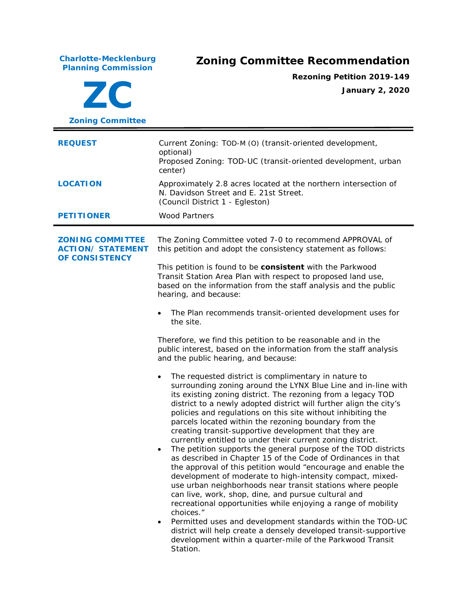**Charlotte-Mecklenburg Planning Commission Zoning Committee Recommendation ZC Zoning Committee Rezoning Petition 2019-149 January 2, 2020 REQUEST** Current Zoning: TOD-M (O) (transit-oriented development, optional) Proposed Zoning: TOD-UC (transit-oriented development, urban center) **LOCATION** Approximately 2.8 acres located at the northern intersection of N. Davidson Street and E. 21st Street. (Council District 1 - Egleston) **PETITIONER** Wood Partners **ZONING COMMITTEE ACTION/ STATEMENT OF CONSISTENCY** The Zoning Committee voted 7-0 to recommend APPROVAL of this petition and adopt the consistency statement as follows: This petition is found to be **consistent** with the *Parkwood Transit Station Area Plan* with respect to proposed land use*,* based on the information from the staff analysis and the public hearing, and because: • The Plan recommends transit-oriented development uses for the site. Therefore, we find this petition to be reasonable and in the public interest, based on the information from the staff analysis and the public hearing, and because: The requested district is complimentary in nature to surrounding zoning around the LYNX Blue Line and in-line with its existing zoning district. The rezoning from a legacy TOD district to a newly adopted district will further align the city's policies and regulations on this site without inhibiting the parcels located within the rezoning boundary from the creating transit-supportive development that they are currently entitled to under their current zoning district. The petition supports the general purpose of the TOD districts as described in Chapter 15 of the Code of Ordinances in that the approval of this petition would "encourage and enable the development of moderate to high-intensity compact, mixeduse urban neighborhoods near transit stations where people can live, work, shop, dine, and pursue cultural and recreational opportunities while enjoying a range of mobility choices." • Permitted uses and development standards within the TOD-UC district will help create a densely developed transit-supportive development within a quarter-mile of the Parkwood Transit

Station.